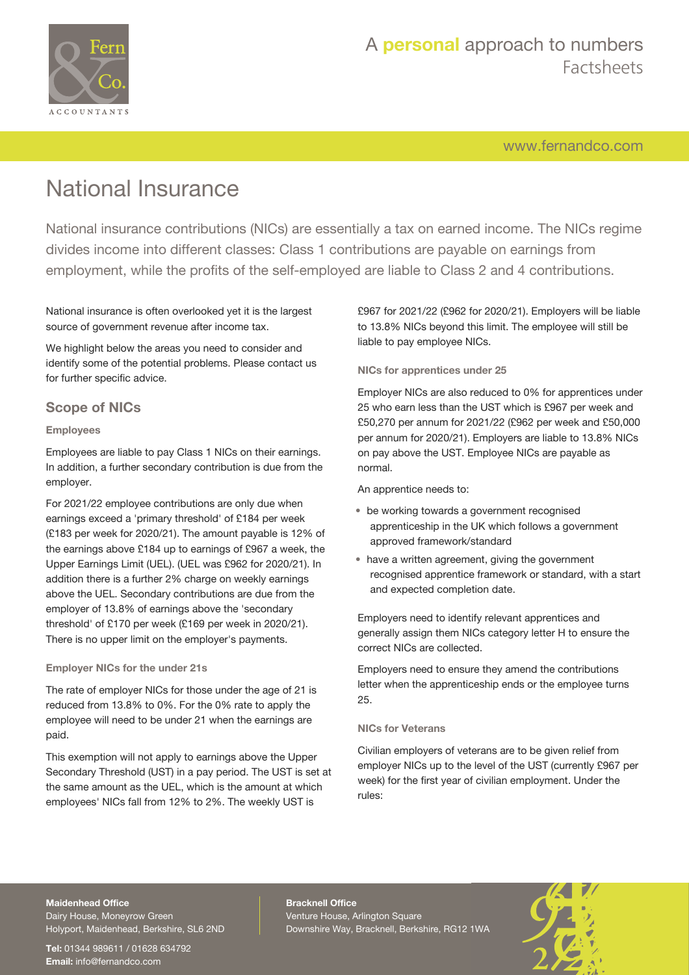

[www.fernandco.com](http://www.fernandco.com)

# National Insurance

National insurance contributions (NICs) are essentially a tax on earned income. The NICs regime divides income into different classes: Class 1 contributions are payable on earnings from employment, while the profits of the self-employed are liable to Class 2 and 4 contributions.

National insurance is often overlooked yet it is the largest source of government revenue after income tax.

We highlight below the areas you need to consider and identify some of the potential problems. Please contact us for further specific advice.

## **Scope of NICs**

### **Employees**

Employees are liable to pay Class 1 NICs on their earnings. In addition, a further secondary contribution is due from the employer.

For 2021/22 employee contributions are only due when earnings exceed a 'primary threshold' of £184 per week (£183 per week for 2020/21). The amount payable is 12% of the earnings above £184 up to earnings of £967 a week, the Upper Earnings Limit (UEL). (UEL was £962 for 2020/21). In addition there is a further 2% charge on weekly earnings above the UEL. Secondary contributions are due from the employer of 13.8% of earnings above the 'secondary threshold' of £170 per week (£169 per week in 2020/21). There is no upper limit on the employer's payments.

#### **Employer NICs for the under 21s**

The rate of employer NICs for those under the age of 21 is reduced from 13.8% to 0%. For the 0% rate to apply the employee will need to be under 21 when the earnings are paid.

This exemption will not apply to earnings above the Upper Secondary Threshold (UST) in a pay period. The UST is set at the same amount as the UEL, which is the amount at which employees' NICs fall from 12% to 2%. The weekly UST is

£967 for 2021/22 (£962 for 2020/21). Employers will be liable to 13.8% NICs beyond this limit. The employee will still be liable to pay employee NICs.

### **NICs for apprentices under 25**

Employer NICs are also reduced to 0% for apprentices under 25 who earn less than the UST which is £967 per week and £50,270 per annum for 2021/22 (£962 per week and £50,000 per annum for 2020/21). Employers are liable to 13.8% NICs on pay above the UST. Employee NICs are payable as normal.

An apprentice needs to:

- be working towards a government recognised apprenticeship in the UK which follows a government approved framework/standard
- have a written agreement, giving the government recognised apprentice framework or standard, with a start and expected completion date.

Employers need to identify relevant apprentices and generally assign them NICs category letter H to ensure the correct NICs are collected.

Employers need to ensure they amend the contributions letter when the apprenticeship ends or the employee turns 25.

#### **NICs for Veterans**

Civilian employers of veterans are to be given relief from employer NICs up to the level of the UST (currently £967 per week) for the first year of civilian employment. Under the rules:

## **Maidenhead Office**

Dairy House, Moneyrow Green Holyport, Maidenhead, Berkshire, SL6 2ND

**Tel:** 01344 989611 / 01628 634792 **Email:** [info@fernandco.com](mailto:info@fernandco.com)

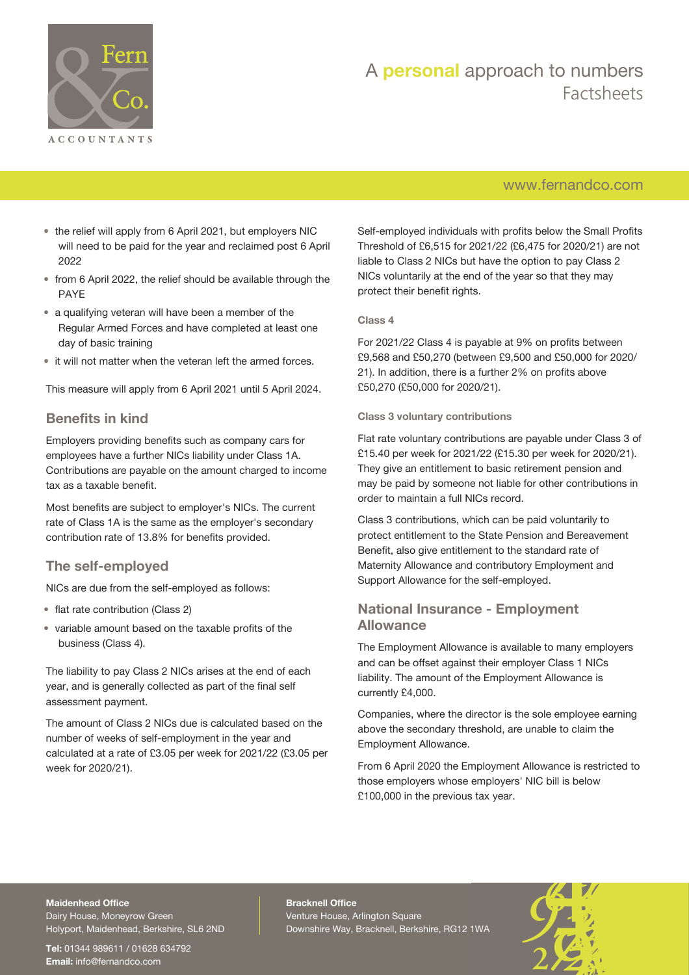

## [www.fernandco.com](http://www.fernandco.com)

- the relief will apply from 6 April 2021, but employers NIC will need to be paid for the year and reclaimed post 6 April 2022
- from 6 April 2022, the relief should be available through the PAYE
- a qualifying veteran will have been a member of the Regular Armed Forces and have completed at least one day of basic training
- it will not matter when the veteran left the armed forces.

This measure will apply from 6 April 2021 until 5 April 2024.

## **Benefits in kind**

Employers providing benefits such as company cars for employees have a further NICs liability under Class 1A. Contributions are payable on the amount charged to income tax as a taxable benefit.

Most benefits are subject to employer's NICs. The current rate of Class 1A is the same as the employer's secondary contribution rate of 13.8% for benefits provided.

## **The self-employed**

NICs are due from the self-employed as follows:

- flat rate contribution (Class 2)
- variable amount based on the taxable profits of the business (Class 4).

The liability to pay Class 2 NICs arises at the end of each year, and is generally collected as part of the final self assessment payment.

The amount of Class 2 NICs due is calculated based on the number of weeks of self-employment in the year and calculated at a rate of £3.05 per week for 2021/22 (£3.05 per week for 2020/21).

Self-employed individuals with profits below the Small Profits Threshold of £6,515 for 2021/22 (£6,475 for 2020/21) are not liable to Class 2 NICs but have the option to pay Class 2 NICs voluntarily at the end of the year so that they may protect their benefit rights.

#### **Class 4**

For 2021/22 Class 4 is payable at 9% on profits between £9,568 and £50,270 (between £9,500 and £50,000 for 2020/ 21). In addition, there is a further 2% on profits above £50,270 (£50,000 for 2020/21).

#### **Class 3 voluntary contributions**

Flat rate voluntary contributions are payable under Class 3 of £15.40 per week for 2021/22 (£15.30 per week for 2020/21). They give an entitlement to basic retirement pension and may be paid by someone not liable for other contributions in order to maintain a full NICs record.

Class 3 contributions, which can be paid voluntarily to protect entitlement to the State Pension and Bereavement Benefit, also give entitlement to the standard rate of Maternity Allowance and contributory Employment and Support Allowance for the self-employed.

## **National Insurance - Employment Allowance**

The Employment Allowance is available to many employers and can be offset against their employer Class 1 NICs liability. The amount of the Employment Allowance is currently £4,000.

Companies, where the director is the sole employee earning above the secondary threshold, are unable to claim the Employment Allowance.

From 6 April 2020 the Employment Allowance is restricted to those employers whose employers' NIC bill is below £100,000 in the previous tax year.

## **Maidenhead Office**

Dairy House, Moneyrow Green Holyport, Maidenhead, Berkshire, SL6 2ND

**Tel:** 01344 989611 / 01628 634792 **Email:** [info@fernandco.com](mailto:info@fernandco.com)

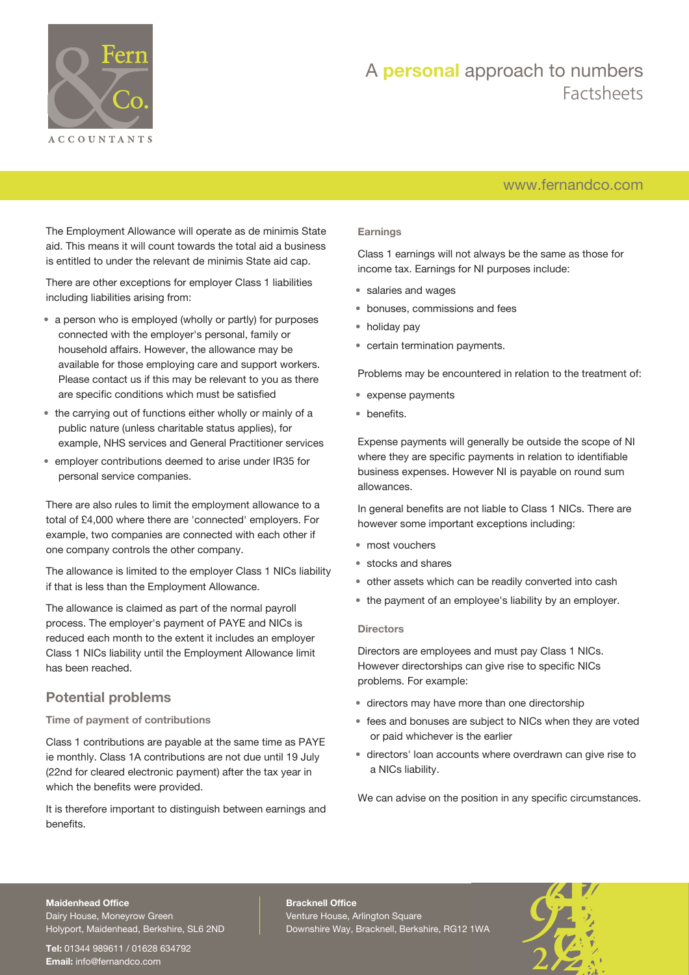

## [www.fernandco.com](http://www.fernandco.com)

The Employment Allowance will operate as de minimis State aid. This means it will count towards the total aid a business is entitled to under the relevant de minimis State aid cap.

There are other exceptions for employer Class 1 liabilities including liabilities arising from:

- a person who is employed (wholly or partly) for purposes connected with the employer's personal, family or household affairs. However, the allowance may be available for those employing care and support workers. Please contact us if this may be relevant to you as there are specific conditions which must be satisfied
- the carrying out of functions either wholly or mainly of a public nature (unless charitable status applies), for example, NHS services and General Practitioner services
- employer contributions deemed to arise under IR35 for personal service companies.

There are also rules to limit the employment allowance to a total of £4,000 where there are 'connected' employers. For example, two companies are connected with each other if one company controls the other company.

The allowance is limited to the employer Class 1 NICs liability if that is less than the Employment Allowance.

The allowance is claimed as part of the normal payroll process. The employer's payment of PAYE and NICs is reduced each month to the extent it includes an employer Class 1 NICs liability until the Employment Allowance limit has been reached.

## **Potential problems**

#### **Time of payment of contributions**

Class 1 contributions are payable at the same time as PAYE ie monthly. Class 1A contributions are not due until 19 July (22nd for cleared electronic payment) after the tax year in which the benefits were provided.

It is therefore important to distinguish between earnings and benefits.

#### **Earnings**

Class 1 earnings will not always be the same as those for income tax. Earnings for NI purposes include:

- salaries and wages
- bonuses, commissions and fees
- holiday pay
- certain termination payments.

Problems may be encountered in relation to the treatment of:

- expense payments
- benefits.

Expense payments will generally be outside the scope of NI where they are specific payments in relation to identifiable business expenses. However NI is payable on round sum allowances.

In general benefits are not liable to Class 1 NICs. There are however some important exceptions including:

- most vouchers
- stocks and shares
- other assets which can be readily converted into cash
- the payment of an employee's liability by an employer.

#### **Directors**

Directors are employees and must pay Class 1 NICs. However directorships can give rise to specific NICs problems. For example:

- directors may have more than one directorship
- fees and bonuses are subject to NICs when they are voted or paid whichever is the earlier
- directors' loan accounts where overdrawn can give rise to a NICs liability.

We can advise on the position in any specific circumstances.

#### **Maidenhead Office**

Dairy House, Moneyrow Green Holyport, Maidenhead, Berkshire, SL6 2ND

**Tel:** 01344 989611 / 01628 634792 **Email:** [info@fernandco.com](mailto:info@fernandco.com)